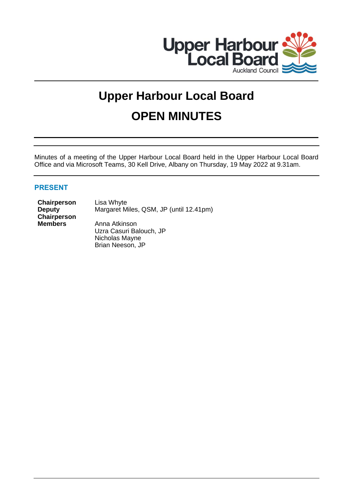

# **Upper Harbour Local Board OPEN MINUTES**

Minutes of a meeting of the Upper Harbour Local Board held in the Upper Harbour Local Board Office and via Microsoft Teams, 30 Kell Drive, Albany on Thursday, 19 May 2022 at 9.31am.

# **PRESENT**

**Chairperson** Lisa Whyte **Deputy Chairperson**

Margaret Miles, QSM, JP (until 12.41pm) **Members** Anna Atkinson Uzra Casuri Balouch, JP

Nicholas Mayne Brian Neeson, JP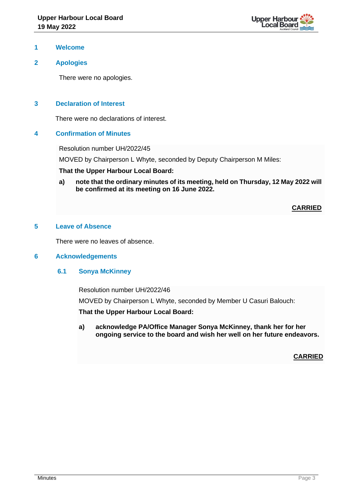

#### **1 Welcome**

# **2 Apologies**

There were no apologies.

# **3 Declaration of Interest**

There were no declarations of interest.

#### **4 Confirmation of Minutes**

Resolution number UH/2022/45

MOVED by Chairperson L Whyte, seconded by Deputy Chairperson M Miles:

#### **That the Upper Harbour Local Board:**

**a) note that the ordinary minutes of its meeting, held on Thursday, 12 May 2022 will be confirmed at its meeting on 16 June 2022.**

#### **CARRIED**

#### **5 Leave of Absence**

There were no leaves of absence.

#### **6 Acknowledgements**

#### **6.1 Sonya McKinney**

Resolution number UH/2022/46

MOVED by Chairperson L Whyte, seconded by Member U Casuri Balouch:

**That the Upper Harbour Local Board:**

**a) acknowledge PA/Office Manager Sonya McKinney, thank her for her ongoing service to the board and wish her well on her future endeavors.**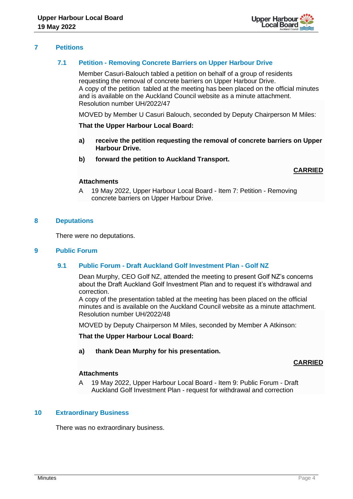

# **7 Petitions**

# **7.1 Petition - Removing Concrete Barriers on Upper Harbour Drive**

Member Casuri-Balouch tabled a petition on behalf of a group of residents requesting the removal of concrete barriers on Upper Harbour Drive. A copy of the petition tabled at the meeting has been placed on the official minutes and is available on the Auckland Council website as a minute attachment. Resolution number UH/2022/47

MOVED by Member U Casuri Balouch, seconded by Deputy Chairperson M Miles:

#### **That the Upper Harbour Local Board:**

- **a) receive the petition requesting the removal of concrete barriers on Upper Harbour Drive.**
- **b) forward the petition to Auckland Transport.**

#### **CARRIED**

#### **Attachments**

A 19 May 2022, Upper Harbour Local Board - Item 7: Petition - Removing concrete barriers on Upper Harbour Drive.

#### **8 Deputations**

There were no deputations.

#### **9 Public Forum**

#### **9.1 Public Forum - Draft Auckland Golf Investment Plan - Golf NZ**

Dean Murphy, CEO Golf NZ, attended the meeting to present Golf NZ's concerns about the Draft Auckland Golf Investment Plan and to request it's withdrawal and correction.

A copy of the presentation tabled at the meeting has been placed on the official minutes and is available on the Auckland Council website as a minute attachment. Resolution number UH/2022/48

MOVED by Deputy Chairperson M Miles, seconded by Member A Atkinson:

**That the Upper Harbour Local Board:**

#### **a) thank Dean Murphy for his presentation.**

# **CARRIED**

# **Attachments**

A 19 May 2022, Upper Harbour Local Board - Item 9: Public Forum - Draft Auckland Golf Investment Plan - request for withdrawal and correction

# **10 Extraordinary Business**

There was no extraordinary business.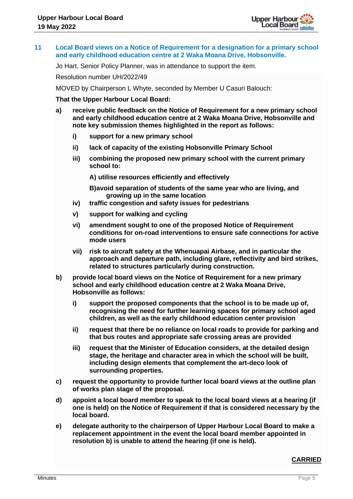

#### **11 Local Board views on a Notice of Requirement for a designation for a primary school and early childhood education centre at 2 Waka Moana Drive, Hobsonville.**

Jo Hart, Senior Policy Planner, was in attendance to support the item.

Resolution number UH/2022/49

MOVED by Chairperson L Whyte, seconded by Member U Casuri Balouch:

#### **That the Upper Harbour Local Board:**

- **a) receive public feedback on the Notice of Requirement for a new primary school and early childhood education centre at 2 Waka Moana Drive, Hobsonville and note key submission themes highlighted in the report as follows:** 
	- **i) support for a new primary school**
	- **ii) lack of capacity of the existing Hobsonville Primary School**
	- **iii) combining the proposed new primary school with the current primary school to:**

**A) utilise resources efficiently and effectively**

**B)avoid separation of students of the same year who are living, and growing up in the same location**

- **iv) traffic congestion and safety issues for pedestrians**
- **v) support for walking and cycling**
- **vi) amendment sought to one of the proposed Notice of Requirement conditions for on-road interventions to ensure safe connections for active mode users**
- **vii) risk to aircraft safety at the Whenuapai Airbase, and in particular the approach and departure path, including glare, reflectivity and bird strikes, related to structures particularly during construction.**
- **b) provide local board views on the Notice of Requirement for a new primary school and early childhood education centre at 2 Waka Moana Drive, Hobsonville as follows:**
	- **i) support the proposed components that the school is to be made up of, recognising the need for further learning spaces for primary school aged children, as well as the early childhood education center provision**
	- **ii) request that there be no reliance on local roads to provide for parking and that bus routes and appropriate safe crossing areas are provided**
	- **iii) request that the Minister of Education considers, at the detailed design stage, the heritage and character area in which the school will be built, including design elements that complement the art-deco look of surrounding properties.**
- **c) request the opportunity to provide further local board views at the outline plan of works plan stage of the proposal.**
- **d) appoint a local board member to speak to the local board views at a hearing (if one is held) on the Notice of Requirement if that is considered necessary by the local board.**
- **e) delegate authority to the chairperson of Upper Harbour Local Board to make a replacement appointment in the event the local board member appointed in resolution b) is unable to attend the hearing (if one is held).**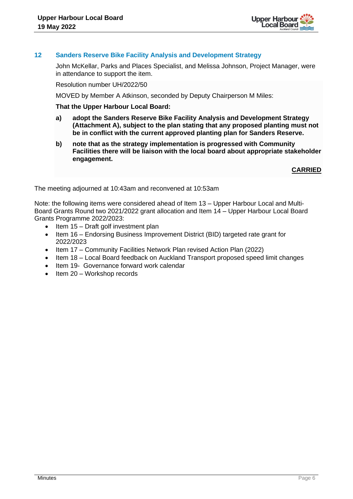

# **12 Sanders Reserve Bike Facility Analysis and Development Strategy**

John McKellar, Parks and Places Specialist, and Melissa Johnson, Project Manager, were in attendance to support the item.

Resolution number UH/2022/50

MOVED by Member A Atkinson, seconded by Deputy Chairperson M Miles:

#### **That the Upper Harbour Local Board:**

- **a) adopt the Sanders Reserve Bike Facility Analysis and Development Strategy (Attachment A), subject to the plan stating that any proposed planting must not be in conflict with the current approved planting plan for Sanders Reserve.**
- **b) note that as the strategy implementation is progressed with Community Facilities there will be liaison with the local board about appropriate stakeholder engagement.**

**CARRIED**

The meeting adjourned at 10:43am and reconvened at 10:53am

Note: the following items were considered ahead of Item 13 – Upper Harbour Local and Multi-Board Grants Round two 2021/2022 grant allocation and Item 14 – Upper Harbour Local Board Grants Programme 2022/2023:

- Item 15 Draft golf investment plan
- Item 16 Endorsing Business Improvement District (BID) targeted rate grant for 2022/2023
- Item 17 Community Facilities Network Plan revised Action Plan (2022)
- Item 18 Local Board feedback on Auckland Transport proposed speed limit changes
- Item 19- Governance forward work calendar
- Item 20 Workshop records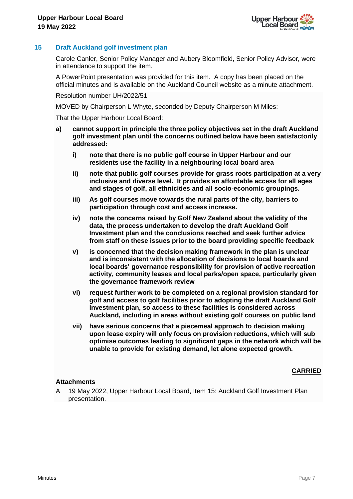

# **15 Draft Auckland golf investment plan**

Carole Canler, Senior Policy Manager and Aubery Bloomfield, Senior Policy Advisor, were in attendance to support the item.

A PowerPoint presentation was provided for this item. A copy has been placed on the official minutes and is available on the Auckland Council website as a minute attachment.

Resolution number UH/2022/51

MOVED by Chairperson L Whyte, seconded by Deputy Chairperson M Miles:

That the Upper Harbour Local Board:

- **a) cannot support in principle the three policy objectives set in the draft Auckland golf investment plan until the concerns outlined below have been satisfactorily addressed:**
	- **i) note that there is no public golf course in Upper Harbour and our residents use the facility in a neighbouring local board area**
	- **ii) note that public golf courses provide for grass roots participation at a very inclusive and diverse level. It provides an affordable access for all ages and stages of golf, all ethnicities and all socio-economic groupings.**
	- **iii) As golf courses move towards the rural parts of the city, barriers to participation through cost and access increase.**
	- **iv) note the concerns raised by Golf New Zealand about the validity of the data, the process undertaken to develop the draft Auckland Golf Investment plan and the conclusions reached and seek further advice from staff on these issues prior to the board providing specific feedback**
	- **v) is concerned that the decision making framework in the plan is unclear and is inconsistent with the allocation of decisions to local boards and local boards' governance responsibility for provision of active recreation activity, community leases and local parks/open space, particularly given the governance framework review**
	- **vi) request further work to be completed on a regional provision standard for golf and access to golf facilities prior to adopting the draft Auckland Golf Investment plan, so access to these facilities is considered across Auckland, including in areas without existing golf courses on public land**
	- **vii) have serious concerns that a piecemeal approach to decision making upon lease expiry will only focus on provision reductions, which will sub optimise outcomes leading to significant gaps in the network which will be unable to provide for existing demand, let alone expected growth.**

# **CARRIED**

#### **Attachments**

A 19 May 2022, Upper Harbour Local Board, Item 15: Auckland Golf Investment Plan presentation.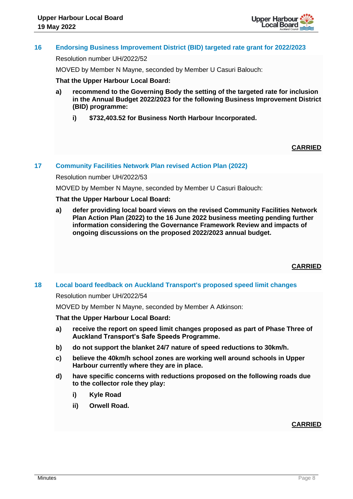

# **16 Endorsing Business Improvement District (BID) targeted rate grant for 2022/2023**

Resolution number UH/2022/52

MOVED by Member N Mayne, seconded by Member U Casuri Balouch:

#### **That the Upper Harbour Local Board:**

- **a) recommend to the Governing Body the setting of the targeted rate for inclusion in the Annual Budget 2022/2023 for the following Business Improvement District (BID) programme:**
	- **i) \$732,403.52 for Business North Harbour Incorporated.**

#### **CARRIED**

#### **17 Community Facilities Network Plan revised Action Plan (2022)**

Resolution number UH/2022/53

MOVED by Member N Mayne, seconded by Member U Casuri Balouch:

#### **That the Upper Harbour Local Board:**

**a) defer providing local board views on the revised Community Facilities Network Plan Action Plan (2022) to the 16 June 2022 business meeting pending further information considering the Governance Framework Review and impacts of ongoing discussions on the proposed 2022/2023 annual budget.**

**CARRIED**

# **18 Local board feedback on Auckland Transport's proposed speed limit changes**

Resolution number UH/2022/54

MOVED by Member N Mayne, seconded by Member A Atkinson:

#### **That the Upper Harbour Local Board:**

- **a) receive the report on speed limit changes proposed as part of Phase Three of Auckland Transport's Safe Speeds Programme.**
- **b) do not support the blanket 24/7 nature of speed reductions to 30km/h.**
- **c) believe the 40km/h school zones are working well around schools in Upper Harbour currently where they are in place.**
- **d) have specific concerns with reductions proposed on the following roads due to the collector role they play:**
	- **i) Kyle Road**
	- **ii) Orwell Road.**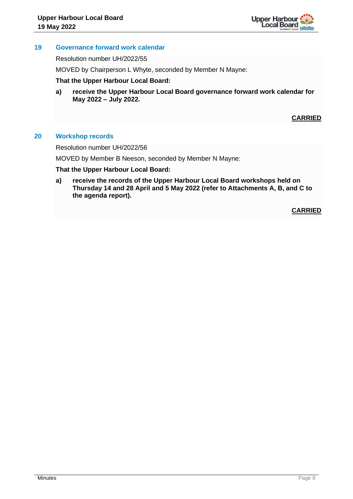

## **19 Governance forward work calendar**

Resolution number UH/2022/55

MOVED by Chairperson L Whyte, seconded by Member N Mayne:

#### **That the Upper Harbour Local Board:**

**a) receive the Upper Harbour Local Board governance forward work calendar for May 2022 – July 2022.**

# **CARRIED**

#### **20 Workshop records**

Resolution number UH/2022/56

MOVED by Member B Neeson, seconded by Member N Mayne:

#### **That the Upper Harbour Local Board:**

**a) receive the records of the Upper Harbour Local Board workshops held on Thursday 14 and 28 April and 5 May 2022 (refer to Attachments A, B, and C to the agenda report).**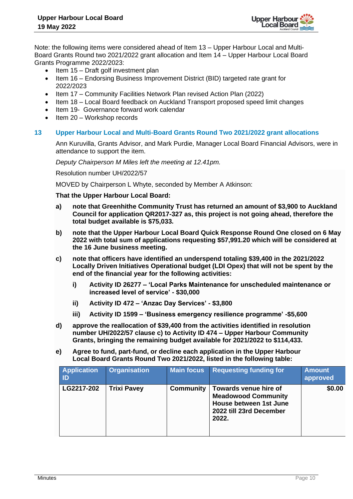

Note: the following items were considered ahead of Item 13 – Upper Harbour Local and Multi-Board Grants Round two 2021/2022 grant allocation and Item 14 – Upper Harbour Local Board Grants Programme 2022/2023:

- Item 15 Draft golf investment plan
- Item 16 Endorsing Business Improvement District (BID) targeted rate grant for 2022/2023
- Item 17 Community Facilities Network Plan revised Action Plan (2022)
- Item 18 Local Board feedback on Auckland Transport proposed speed limit changes
- Item 19- Governance forward work calendar
- Item 20 Workshop records

#### **13 Upper Harbour Local and Multi-Board Grants Round Two 2021/2022 grant allocations**

Ann Kuruvilla, Grants Advisor, and Mark Purdie, Manager Local Board Financial Advisors, were in attendance to support the item.

*Deputy Chairperson M Miles left the meeting at 12.41pm.*

Resolution number UH/2022/57

MOVED by Chairperson L Whyte, seconded by Member A Atkinson:

**That the Upper Harbour Local Board:**

- **a) note that Greenhithe Community Trust has returned an amount of \$3,900 to Auckland Council for application QR2017-327 as, this project is not going ahead, therefore the total budget available is \$75,033.**
- **b) note that the Upper Harbour Local Board Quick Response Round One closed on 6 May 2022 with total sum of applications requesting \$57,991.20 which will be considered at the 16 June business meeting.**
- **c) note that officers have identified an underspend totaling \$39,400 in the 2021/2022 Locally Driven Initiatives Operational budget (LDI Opex) that will not be spent by the end of the financial year for the following activities:** 
	- **i) Activity ID 26277 – 'Local Parks Maintenance for unscheduled maintenance or increased level of service' - \$30,000**
	- **ii) Activity ID 472 – 'Anzac Day Services' - \$3,800**
	- **iii) Activity ID 1599 – 'Business emergency resilience programme' -\$5,600**
- **d) approve the reallocation of \$39,400 from the activities identified in resolution number UH/2022/57 clause c) to Activity ID 474 – Upper Harbour Community Grants, bringing the remaining budget available for 2021/2022 to \$114,433.**
- **e) Agree to fund, part-fund, or decline each application in the Upper Harbour Local Board Grants Round Two 2021/2022, listed in the following table:**

| <b>Application</b><br>ID | <b>Organisation</b> | <b>Main focus</b> | <b>Requesting funding for</b>                                                                                            | <b>Amount</b><br>approved |
|--------------------------|---------------------|-------------------|--------------------------------------------------------------------------------------------------------------------------|---------------------------|
| LG2217-202               | <b>Trixi Pavey</b>  | <b>Community</b>  | Towards venue hire of<br><b>Meadowood Community</b><br><b>House between 1st June</b><br>2022 till 23rd December<br>2022. | \$0.00                    |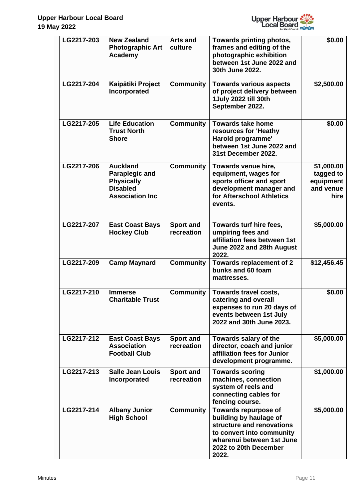

| LG2217-203 | <b>New Zealand</b><br><b>Photographic Art</b><br><b>Academy</b>                                            | <b>Arts and</b><br>culture     | Towards printing photos,<br>frames and editing of the<br>photographic exhibition<br>between 1st June 2022 and<br>30th June 2022.                                        | \$0.00                                                    |
|------------|------------------------------------------------------------------------------------------------------------|--------------------------------|-------------------------------------------------------------------------------------------------------------------------------------------------------------------------|-----------------------------------------------------------|
| LG2217-204 | Kaipātiki Project<br>Incorporated                                                                          | <b>Community</b>               | <b>Towards various aspects</b><br>of project delivery between<br>1 July 2022 till 30th<br>September 2022.                                                               | \$2,500.00                                                |
| LG2217-205 | <b>Life Education</b><br><b>Trust North</b><br><b>Shore</b>                                                | <b>Community</b>               | <b>Towards take home</b><br>resources for 'Heathy<br>Harold programme'<br>between 1st June 2022 and<br>31st December 2022.                                              | \$0.00                                                    |
| LG2217-206 | <b>Auckland</b><br><b>Paraplegic and</b><br><b>Physically</b><br><b>Disabled</b><br><b>Association Inc</b> | <b>Community</b>               | Towards venue hire,<br>equipment, wages for<br>sports officer and sport<br>development manager and<br>for Afterschool Athletics<br>events.                              | \$1,000.00<br>tagged to<br>equipment<br>and venue<br>hire |
| LG2217-207 | <b>East Coast Bays</b><br><b>Hockey Club</b>                                                               | <b>Sport and</b><br>recreation | Towards turf hire fees,<br>umpiring fees and<br>affiliation fees between 1st<br>June 2022 and 28th August<br>2022.                                                      | \$5,000.00                                                |
| LG2217-209 | <b>Camp Maynard</b>                                                                                        | <b>Community</b>               | <b>Towards replacement of 2</b><br>bunks and 60 foam<br>mattresses.                                                                                                     | \$12,456.45                                               |
| LG2217-210 | <b>Immerse</b><br><b>Charitable Trust</b>                                                                  | <b>Community</b>               | Towards travel costs,<br>catering and overall<br>expenses to run 20 days of<br>events between 1st July<br>2022 and 30th June 2023.                                      | \$0.00                                                    |
| LG2217-212 | <b>East Coast Bays</b><br><b>Association</b><br><b>Football Club</b>                                       | <b>Sport and</b><br>recreation | Towards salary of the<br>director, coach and junior<br>affiliation fees for Junior<br>development programme.                                                            | \$5,000.00                                                |
| LG2217-213 | <b>Salle Jean Louis</b><br>Incorporated                                                                    | <b>Sport and</b><br>recreation | <b>Towards scoring</b><br>machines, connection<br>system of reels and<br>connecting cables for<br>fencing course.                                                       | \$1,000.00                                                |
| LG2217-214 | <b>Albany Junior</b><br><b>High School</b>                                                                 | <b>Community</b>               | Towards repurpose of<br>building by haulage of<br>structure and renovations<br>to convert into community<br>wharenui between 1st June<br>2022 to 20th December<br>2022. | \$5,000.00                                                |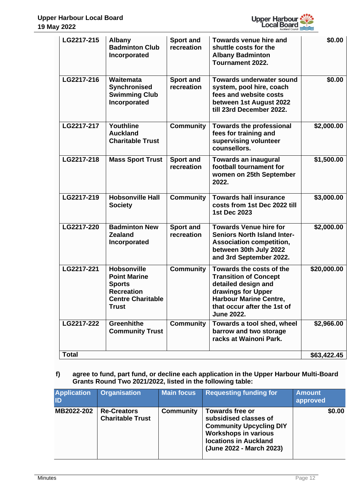

| LG2217-215   | <b>Albany</b><br><b>Badminton Club</b><br>Incorporated                                                                      | <b>Sport and</b><br>recreation | <b>Towards venue hire and</b><br>shuttle costs for the<br><b>Albany Badminton</b><br>Tournament 2022.                                                                                      | \$0.00      |
|--------------|-----------------------------------------------------------------------------------------------------------------------------|--------------------------------|--------------------------------------------------------------------------------------------------------------------------------------------------------------------------------------------|-------------|
| LG2217-216   | Waitemata<br>Synchronised<br><b>Swimming Club</b><br>Incorporated                                                           | <b>Sport and</b><br>recreation | <b>Towards underwater sound</b><br>system, pool hire, coach<br>fees and website costs<br>between 1st August 2022<br>till 23rd December 2022.                                               | \$0.00      |
| LG2217-217   | Youthline<br><b>Auckland</b><br><b>Charitable Trust</b>                                                                     | <b>Community</b>               | <b>Towards the professional</b><br>fees for training and<br>supervising volunteer<br>counsellors.                                                                                          | \$2,000.00  |
| LG2217-218   | <b>Mass Sport Trust</b>                                                                                                     | <b>Sport and</b><br>recreation | <b>Towards an inaugural</b><br>football tournament for<br>women on 25th September<br>2022.                                                                                                 | \$1,500.00  |
| LG2217-219   | <b>Hobsonville Hall</b><br><b>Society</b>                                                                                   | <b>Community</b>               | <b>Towards hall insurance</b><br>costs from 1st Dec 2022 till<br><b>1st Dec 2023</b>                                                                                                       | \$3,000.00  |
| LG2217-220   | <b>Badminton New</b><br><b>Zealand</b><br>Incorporated                                                                      | <b>Sport and</b><br>recreation | <b>Towards Venue hire for</b><br><b>Seniors North Island Inter-</b><br><b>Association competition,</b><br>between 30th July 2022<br>and 3rd September 2022.                                | \$2,000.00  |
| LG2217-221   | <b>Hobsonville</b><br><b>Point Marine</b><br><b>Sports</b><br><b>Recreation</b><br><b>Centre Charitable</b><br><b>Trust</b> | <b>Community</b>               | Towards the costs of the<br><b>Transition of Concept</b><br>detailed design and<br>drawings for Upper<br><b>Harbour Marine Centre,</b><br>that occur after the 1st of<br><b>June 2022.</b> | \$20,000.00 |
| LG2217-222   | <b>Greenhithe</b><br><b>Community Trust</b>                                                                                 | <b>Community</b>               | Towards a tool shed, wheel<br>barrow and two storage<br>racks at Wainoni Park.                                                                                                             | \$2,966.00  |
| <b>Total</b> |                                                                                                                             |                                |                                                                                                                                                                                            | \$63,422.45 |

# **f) agree to fund, part fund, or decline each application in the Upper Harbour Multi-Board Grants Round Two 2021/2022, listed in the following table:**

| <b>Application</b><br>lid | <b>Organisation</b>                           | <b>Main focus</b> | <b>Requesting funding for</b>                                                                                                                                                | <b>Amount</b><br>approved |
|---------------------------|-----------------------------------------------|-------------------|------------------------------------------------------------------------------------------------------------------------------------------------------------------------------|---------------------------|
| MB2022-202                | <b>Re-Creators</b><br><b>Charitable Trust</b> | <b>Community</b>  | <b>Towards free or</b><br>subsidised classes of<br><b>Community Upcycling DIY</b><br><b>Workshops in various</b><br><b>locations in Auckland</b><br>(June 2022 - March 2023) | \$0.00                    |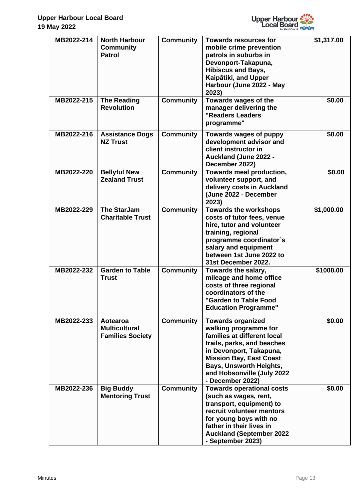

| MB2022-214 | <b>North Harbour</b><br><b>Community</b><br><b>Patrol</b>   | <b>Community</b> | <b>Towards resources for</b><br>mobile crime prevention<br>patrols in suburbs in<br>Devonport-Takapuna,<br><b>Hibiscus and Bays,</b><br>Kaipātiki, and Upper<br>Harbour (June 2022 - May<br>2023)                                                               | \$1,317.00 |
|------------|-------------------------------------------------------------|------------------|-----------------------------------------------------------------------------------------------------------------------------------------------------------------------------------------------------------------------------------------------------------------|------------|
| MB2022-215 | <b>The Reading</b><br><b>Revolution</b>                     | <b>Community</b> | Towards wages of the<br>manager delivering the<br>"Readers Leaders<br>programme"                                                                                                                                                                                | \$0.00     |
| MB2022-216 | <b>Assistance Dogs</b><br><b>NZ Trust</b>                   | <b>Community</b> | Towards wages of puppy<br>development advisor and<br>client instructor in<br><b>Auckland (June 2022 -</b><br>December 2022)                                                                                                                                     | \$0.00     |
| MB2022-220 | <b>Bellyful New</b><br><b>Zealand Trust</b>                 | <b>Community</b> | Towards meal production,<br>volunteer support, and<br>delivery costs in Auckland<br>(June 2022 - December<br>2023)                                                                                                                                              | \$0.00     |
| MB2022-229 | <b>The StarJam</b><br><b>Charitable Trust</b>               | <b>Community</b> | <b>Towards the workshops</b><br>costs of tutor fees, venue<br>hire, tutor and volunteer<br>training, regional<br>programme coordinator's<br>salary and equipment<br>between 1st June 2022 to<br>31st December 2022.                                             | \$1,000.00 |
| MB2022-232 | <b>Garden to Table</b><br><b>Trust</b>                      | <b>Community</b> | Towards the salary,<br>mileage and home office<br>costs of three regional<br>coordinators of the<br>"Garden to Table Food<br><b>Education Programme"</b>                                                                                                        | \$1000.00  |
| MB2022-233 | Aotearoa<br><b>Multicultural</b><br><b>Families Society</b> | <b>Community</b> | <b>Towards organized</b><br>walking programme for<br>families at different local<br>trails, parks, and beaches<br>in Devonport, Takapuna,<br><b>Mission Bay, East Coast</b><br><b>Bays, Unsworth Heights,</b><br>and Hobsonville (July 2022<br>- December 2022) | \$0.00     |
| MB2022-236 | <b>Big Buddy</b><br><b>Mentoring Trust</b>                  | <b>Community</b> | <b>Towards operational costs</b><br>(such as wages, rent,<br>transport, equipment) to<br>recruit volunteer mentors<br>for young boys with no<br>father in their lives in<br><b>Auckland (September 2022</b><br>- September 2023)                                | \$0.00     |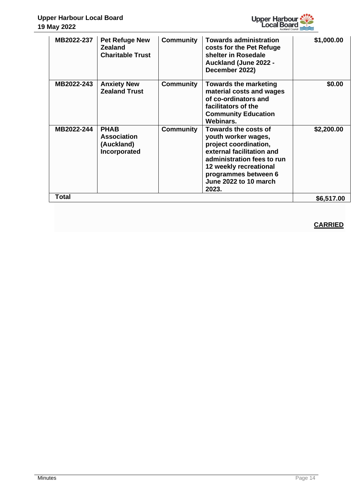

| MB2022-237 | <b>Pet Refuge New</b><br><b>Zealand</b><br><b>Charitable Trust</b> | <b>Community</b> | <b>Towards administration</b><br>costs for the Pet Refuge<br>shelter in Rosedale<br><b>Auckland (June 2022 -</b><br>December 2022)                                                                                         | \$1,000.00 |
|------------|--------------------------------------------------------------------|------------------|----------------------------------------------------------------------------------------------------------------------------------------------------------------------------------------------------------------------------|------------|
| MB2022-243 | <b>Anxiety New</b><br><b>Zealand Trust</b>                         | <b>Community</b> | <b>Towards the marketing</b><br>material costs and wages<br>of co-ordinators and<br>facilitators of the<br><b>Community Education</b><br>Webinars.                                                                         | \$0.00     |
| MB2022-244 | <b>PHAB</b><br><b>Association</b><br>(Auckland)<br>Incorporated    | <b>Community</b> | <b>Towards the costs of</b><br>youth worker wages,<br>project coordination,<br>external facilitation and<br>administration fees to run<br>12 weekly recreational<br>programmes between 6<br>June 2022 to 10 march<br>2023. | \$2,200.00 |
| Total      |                                                                    |                  |                                                                                                                                                                                                                            | \$6,517.00 |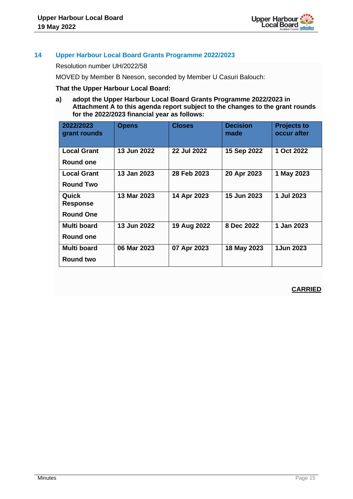

# **14 Upper Harbour Local Board Grants Programme 2022/2023**

Resolution number UH/2022/58

MOVED by Member B Neeson, seconded by Member U Casuri Balouch:

#### **That the Upper Harbour Local Board:**

**a) adopt the Upper Harbour Local Board Grants Programme 2022/2023 in Attachment A to this agenda report subject to the changes to the grant rounds for the 2022/2023 financial year as follows:**

| 2022/2023<br>grant rounds | <b>Opens</b> | <b>Closes</b>      | <b>Decision</b><br>made | <b>Projects to</b><br>occur after |
|---------------------------|--------------|--------------------|-------------------------|-----------------------------------|
| <b>Local Grant</b>        | 13 Jun 2022  | <b>22 Jul 2022</b> | 15 Sep 2022             | 1 Oct 2022                        |
| Round one                 |              |                    |                         |                                   |
| <b>Local Grant</b>        | 13 Jan 2023  | 28 Feb 2023        | 20 Apr 2023             | 1 May 2023                        |
| <b>Round Two</b>          |              |                    |                         |                                   |
| Quick                     | 13 Mar 2023  | 14 Apr 2023        | 15 Jun 2023             | 1 Jul 2023                        |
| <b>Response</b>           |              |                    |                         |                                   |
| <b>Round One</b>          |              |                    |                         |                                   |
| Multi board               | 13 Jun 2022  | 19 Aug 2022        | 8 Dec 2022              | 1 Jan 2023                        |
| Round one                 |              |                    |                         |                                   |
| <b>Multi board</b>        | 06 Mar 2023  | 07 Apr 2023        | 18 May 2023             | 1Jun 2023                         |
| <b>Round two</b>          |              |                    |                         |                                   |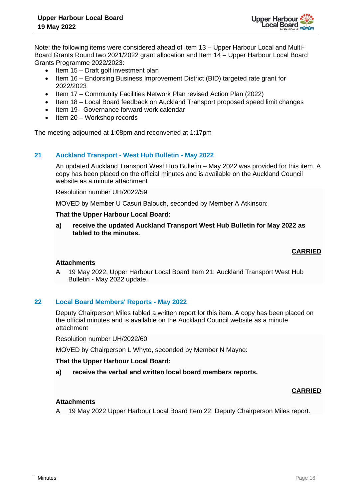

Note: the following items were considered ahead of Item 13 – Upper Harbour Local and Multi-Board Grants Round two 2021/2022 grant allocation and Item 14 – Upper Harbour Local Board Grants Programme 2022/2023:

- Item 15 Draft golf investment plan
- Item 16 Endorsing Business Improvement District (BID) targeted rate grant for 2022/2023
- Item 17 Community Facilities Network Plan revised Action Plan (2022)
- Item 18 Local Board feedback on Auckland Transport proposed speed limit changes
- Item 19- Governance forward work calendar
- Item 20 Workshop records

The meeting adjourned at 1:08pm and reconvened at 1:17pm

#### **21 Auckland Transport - West Hub Bulletin - May 2022**

An updated Auckland Transport West Hub Bulletin – May 2022 was provided for this item. A copy has been placed on the official minutes and is available on the Auckland Council website as a minute attachment

Resolution number UH/2022/59

MOVED by Member U Casuri Balouch, seconded by Member A Atkinson:

#### **That the Upper Harbour Local Board:**

**a) receive the updated Auckland Transport West Hub Bulletin for May 2022 as tabled to the minutes.**

# **CARRIED**

#### **Attachments**

A 19 May 2022, Upper Harbour Local Board Item 21: Auckland Transport West Hub Bulletin - May 2022 update.

#### **22 Local Board Members' Reports - May 2022**

Deputy Chairperson Miles tabled a written report for this item. A copy has been placed on the official minutes and is available on the Auckland Council website as a minute attachment

Resolution number UH/2022/60

MOVED by Chairperson L Whyte, seconded by Member N Mayne:

#### **That the Upper Harbour Local Board:**

**a) receive the verbal and written local board members reports.**

#### **CARRIED**

#### **Attachments**

A 19 May 2022 Upper Harbour Local Board Item 22: Deputy Chairperson Miles report.